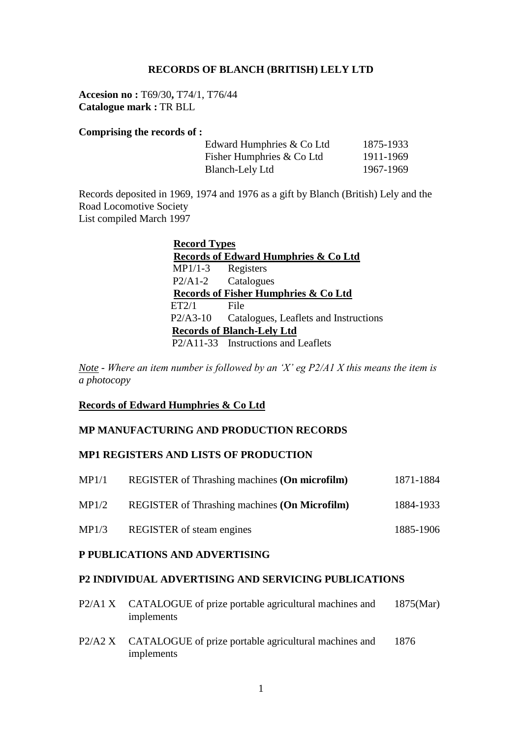## **RECORDS OF BLANCH (BRITISH) LELY LTD**

**Accesion no :** T69/30**,** T74/1, T76/44 **Catalogue mark :** TR BLL

## **Comprising the records of :**

| Edward Humphries & Co Ltd | 1875-1933 |
|---------------------------|-----------|
| Fisher Humphries & Co Ltd | 1911-1969 |
| Blanch-Lely Ltd           | 1967-1969 |

Records deposited in 1969, 1974 and 1976 as a gift by Blanch (British) Lely and the Road Locomotive Society List compiled March 1997

> **Record Types Records of Edward Humphries & Co Ltd** MP1/1-3 Registers P2/A1-2 Catalogues **Records of Fisher Humphries & Co Ltd** ET2/1 File P2/A3-10 Catalogues, Leaflets and Instructions **Records of Blanch-Lely Ltd** P2/A11-33 Instructions and Leaflets

*Note - Where an item number is followed by an 'X' eg P2/A1 X this means the item is a photocopy*

#### **Records of Edward Humphries & Co Ltd**

#### **MP MANUFACTURING AND PRODUCTION RECORDS**

### **MP1 REGISTERS AND LISTS OF PRODUCTION**

| MP1/1 | REGISTER of Thrashing machines (On microfilm)        | 1871-1884 |
|-------|------------------------------------------------------|-----------|
| MP1/2 | <b>REGISTER</b> of Thrashing machines (On Microfilm) | 1884-1933 |
| MP1/3 | <b>REGISTER</b> of steam engines                     | 1885-1906 |

#### **P PUBLICATIONS AND ADVERTISING**

#### **P2 INDIVIDUAL ADVERTISING AND SERVICING PUBLICATIONS**

- P2/A1 X CATALOGUE of prize portable agricultural machines and 1875(Mar) implements
- P2/A2 X CATALOGUE of prize portable agricultural machines and 1876 implements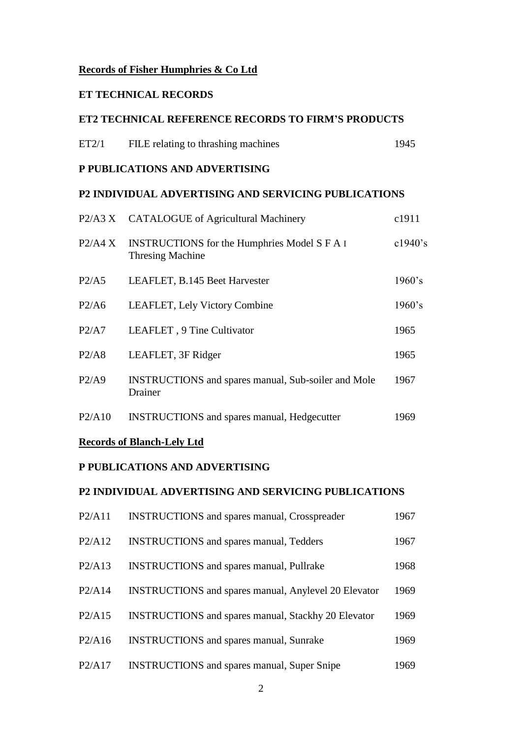# **Records of Fisher Humphries & Co Ltd**

# **ET TECHNICAL RECORDS**

# **ET2 TECHNICAL REFERENCE RECORDS TO FIRM'S PRODUCTS**

| ET2/1 | FILE relating to thrashing machines | 1945 |
|-------|-------------------------------------|------|
|       |                                     |      |

## **P PUBLICATIONS AND ADVERTISING**

## **P2 INDIVIDUAL ADVERTISING AND SERVICING PUBLICATIONS**

|         | P2/A3 X CATALOGUE of Agricultural Machinery                                    | c1911      |
|---------|--------------------------------------------------------------------------------|------------|
| P2/A4 X | <b>INSTRUCTIONS</b> for the Humphries Model S F A I<br><b>Thresing Machine</b> | $c1940$ 's |
| P2/AS   | LEAFLET, B.145 Beet Harvester                                                  | 1960's     |
| P2/AG   | <b>LEAFLET, Lely Victory Combine</b>                                           | 1960's     |
| P2/A7   | LEAFLET, 9 Tine Cultivator                                                     | 1965       |
| P2/AB   | LEAFLET, 3F Ridger                                                             | 1965       |
| P2/Ag   | <b>INSTRUCTIONS</b> and spares manual, Sub-soiler and Mole<br>Drainer          | 1967       |
| P2/A10  | <b>INSTRUCTIONS</b> and spares manual, Hedgecutter                             | 1969       |
|         |                                                                                |            |

## **Records of Blanch-Lely Ltd**

# **P PUBLICATIONS AND ADVERTISING**

## **P2 INDIVIDUAL ADVERTISING AND SERVICING PUBLICATIONS**

| P2/A11 | <b>INSTRUCTIONS</b> and spares manual, Crosspreader         | 1967 |
|--------|-------------------------------------------------------------|------|
| P2/A12 | <b>INSTRUCTIONS</b> and spares manual, Tedders              | 1967 |
| P2/A13 | <b>INSTRUCTIONS</b> and spares manual, Pullrake             | 1968 |
| P2/A14 | <b>INSTRUCTIONS</b> and spares manual, Anylevel 20 Elevator | 1969 |
| P2/A15 | <b>INSTRUCTIONS</b> and spares manual, Stackhy 20 Elevator  | 1969 |
| P2/A16 | <b>INSTRUCTIONS</b> and spares manual, Sunrake              | 1969 |
| P2/A17 | <b>INSTRUCTIONS</b> and spares manual, Super Snipe          | 1969 |